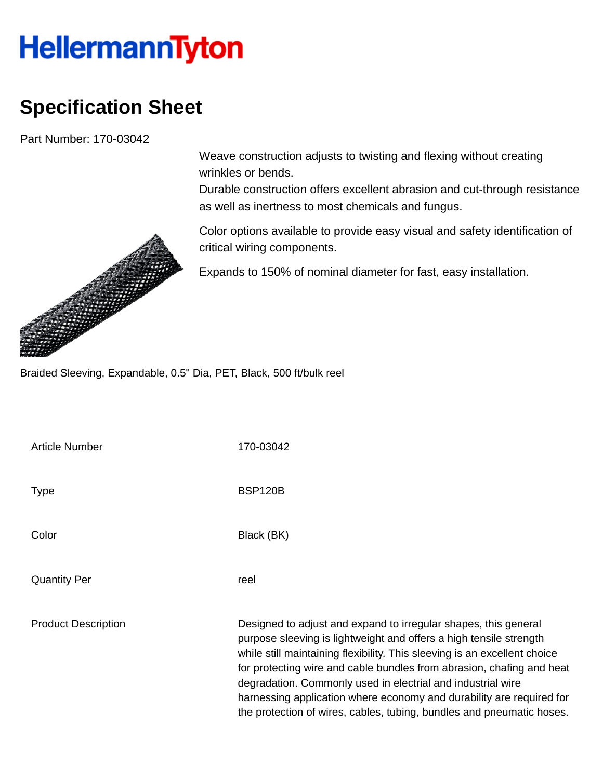## **HellermannTyton**

## **Specification Sheet**

Part Number: 170-03042

Weave construction adjusts to twisting and flexing without creating wrinkles or bends.

Durable construction offers excellent abrasion and cut-through resistance as well as inertness to most chemicals and fungus.

Color options available to provide easy visual and safety identification of critical wiring components.

Expands to 150% of nominal diameter for fast, easy installation.

Braided Sleeving, Expandable, 0.5" Dia, PET, Black, 500 ft/bulk reel

| <b>Article Number</b>      | 170-03042                                                                                                                                                                                                                                                                                                                                                                                                                                                                                                   |
|----------------------------|-------------------------------------------------------------------------------------------------------------------------------------------------------------------------------------------------------------------------------------------------------------------------------------------------------------------------------------------------------------------------------------------------------------------------------------------------------------------------------------------------------------|
| Type                       | <b>BSP120B</b>                                                                                                                                                                                                                                                                                                                                                                                                                                                                                              |
| Color                      | Black (BK)                                                                                                                                                                                                                                                                                                                                                                                                                                                                                                  |
| <b>Quantity Per</b>        | reel                                                                                                                                                                                                                                                                                                                                                                                                                                                                                                        |
| <b>Product Description</b> | Designed to adjust and expand to irregular shapes, this general<br>purpose sleeving is lightweight and offers a high tensile strength<br>while still maintaining flexibility. This sleeving is an excellent choice<br>for protecting wire and cable bundles from abrasion, chafing and heat<br>degradation. Commonly used in electrial and industrial wire<br>harnessing application where economy and durability are required for<br>the protection of wires, cables, tubing, bundles and pneumatic hoses. |

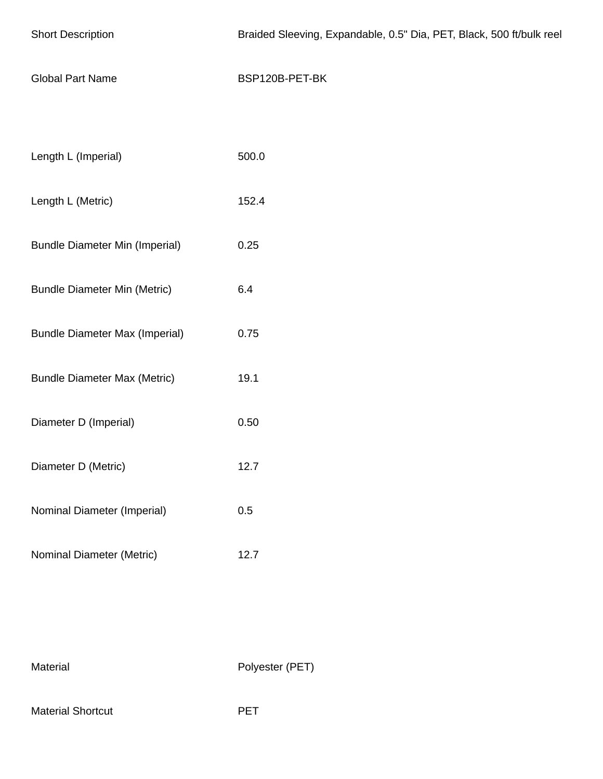| <b>Short Description</b>              | Braided Sleeving, Expandable, 0.5" Dia, PET, Black, 500 ft/bulk reel |
|---------------------------------------|----------------------------------------------------------------------|
| <b>Global Part Name</b>               | BSP120B-PET-BK                                                       |
|                                       |                                                                      |
| Length L (Imperial)                   | 500.0                                                                |
| Length L (Metric)                     | 152.4                                                                |
| <b>Bundle Diameter Min (Imperial)</b> | 0.25                                                                 |
| <b>Bundle Diameter Min (Metric)</b>   | 6.4                                                                  |
| <b>Bundle Diameter Max (Imperial)</b> | 0.75                                                                 |
| <b>Bundle Diameter Max (Metric)</b>   | 19.1                                                                 |
| Diameter D (Imperial)                 | 0.50                                                                 |
| Diameter D (Metric)                   | 12.7                                                                 |
| Nominal Diameter (Imperial)           | 0.5                                                                  |
| Nominal Diameter (Metric)             | 12.7                                                                 |

Material Polyester (PET)

Material Shortcut **PET**